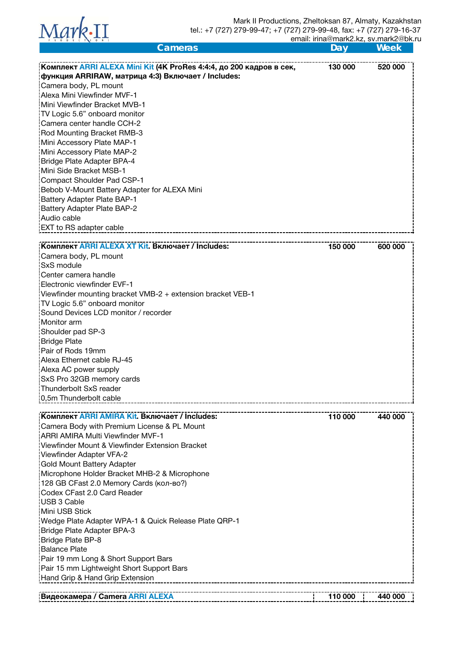

| Cameras                                                             | Day     | Week    |
|---------------------------------------------------------------------|---------|---------|
|                                                                     |         |         |
| Комплект ARRI ALEXA Mini Kit (4K ProRes 4:4:4, до 200 кадров в сек, | 130 000 | 520 000 |
| функция ARRIRAW, матрица 4:3) Включает / Includes:                  |         |         |
| Camera body, PL mount<br>Alexa Mini Viewfinder MVF-1                |         |         |
| Mini Viewfinder Bracket MVB-1                                       |         |         |
| TV Logic 5.6" onboard monitor                                       |         |         |
| Camera center handle CCH-2                                          |         |         |
| Rod Mounting Bracket RMB-3                                          |         |         |
| Mini Accessory Plate MAP-1                                          |         |         |
| Mini Accessory Plate MAP-2                                          |         |         |
| Bridge Plate Adapter BPA-4                                          |         |         |
| Mini Side Bracket MSB-1                                             |         |         |
| Compact Shoulder Pad CSP-1                                          |         |         |
| Bebob V-Mount Battery Adapter for ALEXA Mini                        |         |         |
| <b>Battery Adapter Plate BAP-1</b>                                  |         |         |
| Battery Adapter Plate BAP-2                                         |         |         |
| Audio cable                                                         |         |         |
| <b>EXT</b> to RS adapter cable                                      |         |         |
|                                                                     |         |         |
| Комплект ARRI ALEXA XT Kit. Включает / Includes:                    | 150 000 | 600 000 |
| Camera body, PL mount                                               |         |         |
| SxS module                                                          |         |         |
| Center camera handle                                                |         |         |
| Electronic viewfinder EVF-1                                         |         |         |
| Viewfinder mounting bracket VMB-2 + extension bracket VEB-1         |         |         |
| TV Logic 5.6" onboard monitor                                       |         |         |
| Sound Devices LCD monitor / recorder                                |         |         |
| Monitor arm                                                         |         |         |
| Shoulder pad SP-3                                                   |         |         |
| <b>Bridge Plate</b>                                                 |         |         |
| Pair of Rods 19mm                                                   |         |         |
| Alexa Ethernet cable RJ-45                                          |         |         |
| Alexa AC power supply                                               |         |         |
| SxS Pro 32GB memory cards                                           |         |         |
| Thunderbolt SxS reader                                              |         |         |
| 0,5m Thunderbolt cable                                              |         |         |
| Комплект ARRI AMIRA Kit. Включает / Includes:                       | 110 000 | 440 000 |
| Camera Body with Premium License & PL Mount                         |         |         |
| ARRI AMIRA Multi Viewfinder MVF-1                                   |         |         |
| Viewfinder Mount & Viewfinder Extension Bracket                     |         |         |
| Viewfinder Adapter VFA-2                                            |         |         |
| <b>Gold Mount Battery Adapter</b>                                   |         |         |
| Microphone Holder Bracket MHB-2 & Microphone                        |         |         |
| 128 GB CFast 2.0 Memory Cards (кол-во?)                             |         |         |
| Codex CFast 2.0 Card Reader                                         |         |         |
| USB 3 Cable                                                         |         |         |
| Mini USB Stick                                                      |         |         |
| Wedge Plate Adapter WPA-1 & Quick Release Plate QRP-1               |         |         |
| Bridge Plate Adapter BPA-3                                          |         |         |
| Bridge Plate BP-8                                                   |         |         |
| <b>Balance Plate</b>                                                |         |         |
| Pair 19 mm Long & Short Support Bars                                |         |         |
| Pair 15 mm Lightweight Short Support Bars                           |         |         |
| Hand Grip & Hand Grip Extension                                     |         |         |
|                                                                     |         |         |
| Видеокамера / Camera ARRI ALEXA                                     | 110 000 | 440 000 |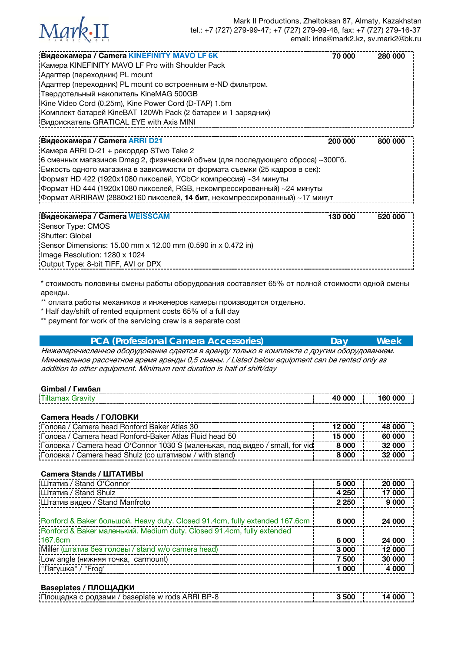

| Видеокамера / Camera KINEFINITY MAVO LF 6K                                      | 70 000  | 280 000 |
|---------------------------------------------------------------------------------|---------|---------|
| Kamepa KINEFINITY MAVO LF Pro with Shoulder Pack                                |         |         |
| Адаптер (переходник) PL mount                                                   |         |         |
| Адаптер (переходник) PL mount со встроенным e-ND фильтром.                      |         |         |
| : Твердотельный накопитель KineMAG 500GB                                        |         |         |
| Kine Video Cord (0.25m), Kine Power Cord (D-TAP) 1.5m                           |         |         |
| Комплект батарей KineBAT 120Wh Pack (2 батареи и 1 зарядник)                    |         |         |
| Видоискатель GRATICAL EYE with Axis MINI                                        |         |         |
|                                                                                 |         |         |
| <b>Видеокамера / Camera ARRI D21</b>                                            | 200 000 | 800 000 |
| Kaмера ARRI D-21 + рекордер STwo Take 2                                         |         |         |
| 16 сменных магазинов Dmag 2, физический объем (для последующего сброса) ~300Гб. |         |         |
| Емкость одного магазина в зависимости от формата съемки (25 кадров в сек):      |         |         |
| формат HD 422 (1920х1080 пикселей, YCbCr компрессия) ~34 минуты                 |         |         |
| Формат HD 444 (1920х1080 пикселей, RGB, некомпрессированный) ~24 минуты         |         |         |
| Формат ARRIRAW (2880x2160 пикселей, 14 бит, некомпрессированный) ~17 минут      |         |         |
|                                                                                 |         |         |

| <b>Видеокамера / Camera WEISSCAM</b>                         | 130 000 | 520 000 |
|--------------------------------------------------------------|---------|---------|
| Sensor Type: CMOS                                            |         |         |
| Shutter: Global                                              |         |         |
| Sensor Dimensions: 15.00 mm x 12.00 mm (0.590 in x 0.472 in) |         |         |
| Image Resolution: 1280 x 1024                                |         |         |
| Output Type: 8-bit TIFF, AVI or DPX                          |         |         |

\* стоимость половины смены работы оборудования составляет 65% от полной стоимости одной смены аренды.

\*\* оплата работы механиков и инженеров камеры производится отдельно.

\* Half day/shift of rented equipment costs 65% of a full day

\*\* payment for work of the servicing crew is a separate cost

| <b>PCA (Professional Camera Accessories)</b>                                                                                                                                                | Dav | <b>Week</b> |
|---------------------------------------------------------------------------------------------------------------------------------------------------------------------------------------------|-----|-------------|
| Нижеперечисленное оборудование сдается в аренду только в комплекте с другим оборудованием.<br>Минимальное рассчетное время аренды 0,5 смены. / Listed below equipment can be rented only as |     |             |
| addition to other equipment. Minimum rent duration is half of shift/day                                                                                                                     |     |             |

| Gimbal<br>имбал |  |  |
|-----------------|--|--|
|                 |  |  |

## **Camera Heads / ГОЛОВКИ**

| Голова / Camera head Ronford Baker Atlas 30                                    | 12.000 | 48.000 |
|--------------------------------------------------------------------------------|--------|--------|
| Толова / Camera head Ronford-Baker Atlas Fluid head 50                         | 15 000 | 60,000 |
| ! Головка / Camera head O'Connor 1030 S (маленькая, под видео / small, for vid | 8 000  | 32 000 |
| Головка / Camera head Shulz (со штативом / with stand)                         | 8 000  | 32 000 |

| <b>Camera Stands / ШТАТИВЫ</b>                                              |         |         |
|-----------------------------------------------------------------------------|---------|---------|
| Штатив / Stand O'Connor                                                     | 5 000   | 20 000  |
| <b>I Штатив / Stand Shulz</b>                                               | 4 250   | 17 000  |
| Штатив видео / Stand Manfroto                                               | 2 2 5 0 | 9 0 0 0 |
| ¡Ronford & Baker большой. Heavy duty. Closed 91.4cm, fully extended 167.6cm | 6 000   | 24 000  |
| Ronford & Baker маленький. Medium duty. Closed 91.4cm, fully extended       |         |         |
| 167.6cm                                                                     | 6 0 0 0 | 24 000  |
| Miller (штатив без головы / stand w/o camera head)                          | 3 0 0 0 | 12 000  |
| Low angle (нижняя точка, carmount)                                          | 7 500   | 30 000  |
| "Лягушка" / "Frog"                                                          | 1 000   | 4 0 0 0 |

## **Baseplates / ПЛОЩАДКИ**

| w rods .<br>baser<br>родзами<br>ч ляте - |  |
|------------------------------------------|--|
|                                          |  |